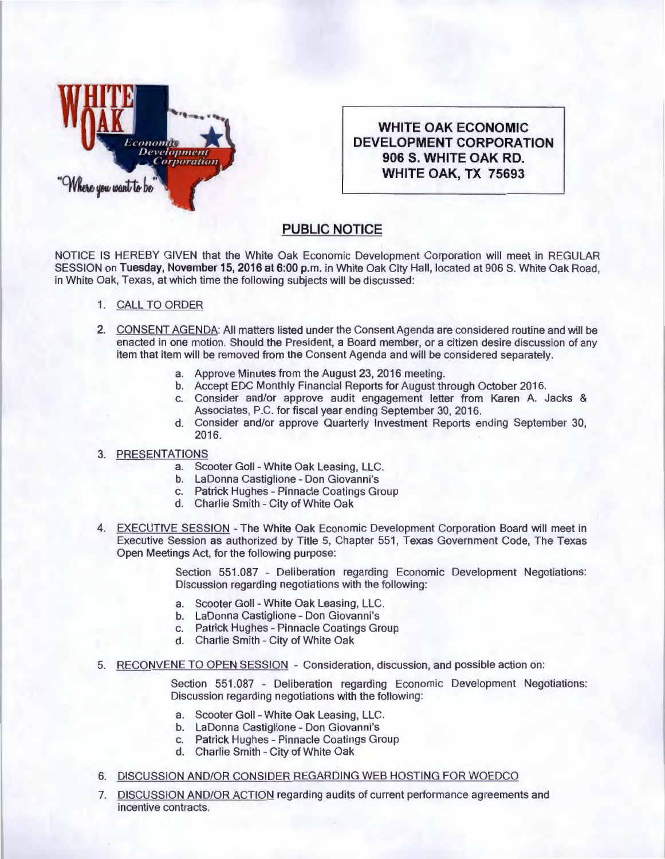

**WHITE OAK ECONOMIC DEVELOPMENT CORPORATION 906 S. WHITE OAK RD. WHITE OAK, TX 75693** 

## **PUBLIC NOTICE**

NOTICE IS HEREBY GIVEN that the White Oak Economic Development Corporation will meet in REGULAR SESSION on Tuesday, November 15, 2016 at 6:00 p.m. in White Oak City Hall, located at 906 S. White Oak Road, in White Oak, Texas, at which time the following subjects will be discussed:

- 1. CALL TO ORDER
- 2. CONSENT AGENDA: All matters listed under the Consent Agenda are considered routine and will be enacted in one motion. Should the President, a Board member, or a citizen desire discussion of any item that item will be removed from the Consent Agenda and will be considered separately.
	- a. Approve Minutes from the August 23, 2016 meeting.
	- b. Accept EDC Monthly Financial Reports for August through October 2016.
	- c. Consider and/or approve audit engagement letter from Karen A. Jacks & Associates, P.C. for fiscal year ending September 30, 2016.
	- d. Consider and/or approve Quarterly Investment Reports ending September 30, 2016.

## 3. PRESENTATIONS

- a. Scooter Gall White Oak Leasing, LLC.
- b. LaDonna Castiglione Don Giovanni's
- c. Patrick Hughes Pinnacle Coatings Group
- d. Charlie Smith City of White Oak
- 4. EXECUTIVE SESSION The White Oak Economic Development Corporation Board will meet in Executive Session as authorized by Title 5, Chapter 551 , Texas Government Code, The Texas Open Meetings Act, for the following purpose:

Section 551.087 - Deliberation regarding Economic Development Negotiations: Discussion regarding negotiations with the following:

- a. Scooter Goll White Oak Leasing, LLC.
- b. La Donna Castiglione Don Giovanni's
- c. Patrick Hughes Pinnacle Coatings Group
- d. Charlie Smith City of White Oak
- 5. RECONVENE TO OPEN SESSION Consideration, discussion, and possible action on:

Section 551.087 - Deliberation regarding Economic Development Negotiations: Discussion regarding negotiations with the following:

- a. Scooter Gall White Oak Leasing, LLC.
- b. La Donna Castiglione Don Giovanni's
- c. Patrick Hughes- Pinnacle Coatings Group
- d. Charlie Smith City of White Oak
- 6. DISCUSSION AND/OR CONSIDER REGARDING WEB HOSTING FOR WOEDCO
- 7. DISCUSSION AND/OR ACTION regarding audits of current performance agreements and incentive contracts.